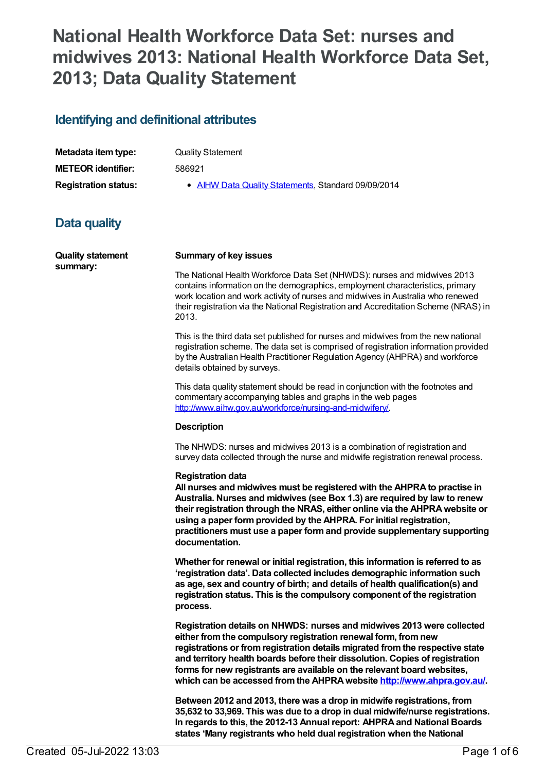# **National Health Workforce Data Set: nurses and midwives 2013: National Health Workforce Data Set, 2013; Data Quality Statement**

### **Identifying and definitional attributes**

| Metadata item type:         | <b>Quality Statement</b>                            |
|-----------------------------|-----------------------------------------------------|
| <b>METEOR identifier:</b>   | 586921                                              |
| <b>Registration status:</b> | • AIHW Data Quality Statements, Standard 09/09/2014 |

## **Data quality**

| <b>Quality statement</b><br>summary: | <b>Summary of key issues</b>                                                                                                                                                                                                                                                                                                                                                                                                                                   |
|--------------------------------------|----------------------------------------------------------------------------------------------------------------------------------------------------------------------------------------------------------------------------------------------------------------------------------------------------------------------------------------------------------------------------------------------------------------------------------------------------------------|
|                                      | The National Health Workforce Data Set (NHWDS): nurses and midwives 2013<br>contains information on the demographics, employment characteristics, primary<br>work location and work activity of nurses and midwives in Australia who renewed<br>their registration via the National Registration and Accreditation Scheme (NRAS) in<br>2013.                                                                                                                   |
|                                      | This is the third data set published for nurses and midwives from the new national<br>registration scheme. The data set is comprised of registration information provided<br>by the Australian Health Practitioner Regulation Agency (AHPRA) and workforce<br>details obtained by surveys.                                                                                                                                                                     |
|                                      | This data quality statement should be read in conjunction with the footnotes and<br>commentary accompanying tables and graphs in the web pages<br>http://www.aihw.gov.au/workforce/nursing-and-midwifery/.                                                                                                                                                                                                                                                     |
|                                      | <b>Description</b>                                                                                                                                                                                                                                                                                                                                                                                                                                             |
|                                      | The NHWDS: nurses and midwives 2013 is a combination of registration and<br>survey data collected through the nurse and midwife registration renewal process.                                                                                                                                                                                                                                                                                                  |
|                                      | <b>Registration data</b><br>All nurses and midwives must be registered with the AHPRA to practise in<br>Australia. Nurses and midwives (see Box 1.3) are required by law to renew<br>their registration through the NRAS, either online via the AHPRA website or<br>using a paper form provided by the AHPRA. For initial registration,<br>practitioners must use a paper form and provide supplementary supporting<br>documentation.                          |
|                                      | Whether for renewal or initial registration, this information is referred to as<br>'registration data'. Data collected includes demographic information such<br>as age, sex and country of birth; and details of health qualification(s) and<br>registration status. This is the compulsory component of the registration<br>process.                                                                                                                          |
|                                      | Registration details on NHWDS: nurses and midwives 2013 were collected<br>either from the compulsory registration renewal form, from new<br>registrations or from registration details migrated from the respective state<br>and territory health boards before their dissolution. Copies of registration<br>forms for new registrants are available on the relevant board websites,<br>which can be accessed from the AHPRA website http://www.ahpra.gov.au/. |
|                                      | Between 2012 and 2013, there was a drop in midwife registrations, from<br>35,632 to 33,969. This was due to a drop in dual midwife/nurse registrations.<br>In regards to this, the 2012-13 Annual report: AHPRA and National Boards                                                                                                                                                                                                                            |

**states 'Many registrants who held dual registration when the National**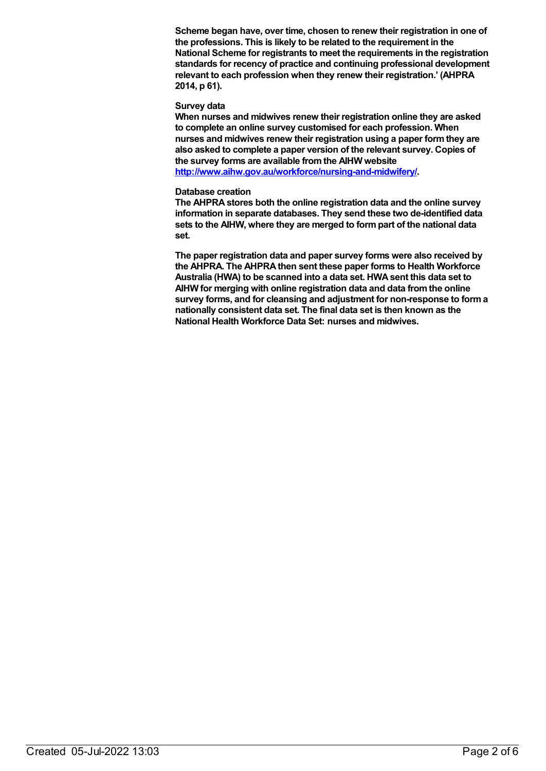**Scheme began have, over time, chosen to renew their registration in one of the professions. This is likely to be related to the requirement in the National Scheme for registrants to meet the requirements in the registration standards for recency of practice and continuing professional development relevant to each profession when they renew their registration.' (AHPRA 2014, p 61).**

#### **Survey data**

**When nurses and midwives renew their registration online they are asked to complete an online survey customised for each profession. When nurses and midwives renew their registration using a paper formthey are also asked to complete a paper version of the relevant survey. Copies of the survey forms are available fromthe AIHW website**

**<http://www.aihw.gov.au/workforce/nursing-and-midwifery/>.**

#### **Database creation**

**The AHPRAstores both the online registration data and the online survey information in separate databases. They send these two de-identified data sets to the AIHW, where they are merged to formpart of the national data set.**

**The paper registration data and paper survey forms were also received by the AHPRA. The AHPRAthen sent these paper forms to Health Workforce Australia (HWA) to be scanned into a data set. HWAsent this data set to AIHW for merging with online registration data and data fromthe online survey forms, and for cleansing and adjustment for non-response to forma nationally consistent data set. The final data set is then known as the National Health Workforce Data Set: nurses and midwives.**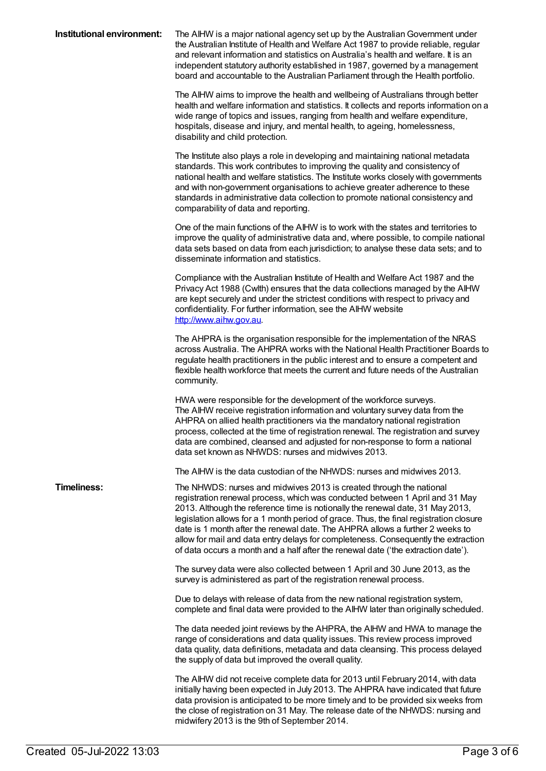| Institutional environment: | The AIHW is a major national agency set up by the Australian Government under<br>the Australian Institute of Health and Welfare Act 1987 to provide reliable, regular<br>and relevant information and statistics on Australia's health and welfare. It is an<br>independent statutory authority established in 1987, governed by a management<br>board and accountable to the Australian Parliament through the Health portfolio.                                                                                                                                                           |
|----------------------------|---------------------------------------------------------------------------------------------------------------------------------------------------------------------------------------------------------------------------------------------------------------------------------------------------------------------------------------------------------------------------------------------------------------------------------------------------------------------------------------------------------------------------------------------------------------------------------------------|
|                            | The AIHW aims to improve the health and wellbeing of Australians through better<br>health and welfare information and statistics. It collects and reports information on a<br>wide range of topics and issues, ranging from health and welfare expenditure,<br>hospitals, disease and injury, and mental health, to ageing, homelessness,<br>disability and child protection.                                                                                                                                                                                                               |
|                            | The Institute also plays a role in developing and maintaining national metadata<br>standards. This work contributes to improving the quality and consistency of<br>national health and welfare statistics. The Institute works closely with governments<br>and with non-government organisations to achieve greater adherence to these<br>standards in administrative data collection to promote national consistency and<br>comparability of data and reporting.                                                                                                                           |
|                            | One of the main functions of the AIHW is to work with the states and territories to<br>improve the quality of administrative data and, where possible, to compile national<br>data sets based on data from each jurisdiction; to analyse these data sets; and to<br>disseminate information and statistics.                                                                                                                                                                                                                                                                                 |
|                            | Compliance with the Australian Institute of Health and Welfare Act 1987 and the<br>Privacy Act 1988 (Cwlth) ensures that the data collections managed by the AIHW<br>are kept securely and under the strictest conditions with respect to privacy and<br>confidentiality. For further information, see the AIHW website<br>http://www.aihw.gov.au                                                                                                                                                                                                                                           |
|                            | The AHPRA is the organisation responsible for the implementation of the NRAS<br>across Australia. The AHPRA works with the National Health Practitioner Boards to<br>regulate health practitioners in the public interest and to ensure a competent and<br>flexible health workforce that meets the current and future needs of the Australian<br>community.                                                                                                                                                                                                                                |
|                            | HWA were responsible for the development of the workforce surveys.<br>The AIHW receive registration information and voluntary survey data from the<br>AHPRA on allied health practitioners via the mandatory national registration<br>process, collected at the time of registration renewal. The registration and survey<br>data are combined, cleansed and adjusted for non-response to form a national<br>data set known as NHWDS: nurses and midwives 2013.                                                                                                                             |
|                            | The AIHW is the data custodian of the NHWDS: nurses and midwives 2013.                                                                                                                                                                                                                                                                                                                                                                                                                                                                                                                      |
| <b>Timeliness:</b>         | The NHWDS: nurses and midwives 2013 is created through the national<br>registration renewal process, which was conducted between 1 April and 31 May<br>2013. Although the reference time is notionally the renewal date, 31 May 2013,<br>legislation allows for a 1 month period of grace. Thus, the final registration closure<br>date is 1 month after the renewal date. The AHPRA allows a further 2 weeks to<br>allow for mail and data entry delays for completeness. Consequently the extraction<br>of data occurs a month and a half after the renewal date ('the extraction date'). |
|                            | The survey data were also collected between 1 April and 30 June 2013, as the<br>survey is administered as part of the registration renewal process.                                                                                                                                                                                                                                                                                                                                                                                                                                         |
|                            | Due to delays with release of data from the new national registration system,<br>complete and final data were provided to the AIHW later than originally scheduled.                                                                                                                                                                                                                                                                                                                                                                                                                         |
|                            | The data needed joint reviews by the AHPRA, the AIHW and HWA to manage the<br>range of considerations and data quality issues. This review process improved<br>data quality, data definitions, metadata and data cleansing. This process delayed<br>the supply of data but improved the overall quality.                                                                                                                                                                                                                                                                                    |
|                            | The AIHW did not receive complete data for 2013 until February 2014, with data<br>initially having been expected in July 2013. The AHPRA have indicated that future<br>data provision is anticipated to be more timely and to be provided six weeks from<br>the close of registration on 31 May. The release date of the NHWDS: nursing and                                                                                                                                                                                                                                                 |

midwifery 2013 is the 9th of September 2014.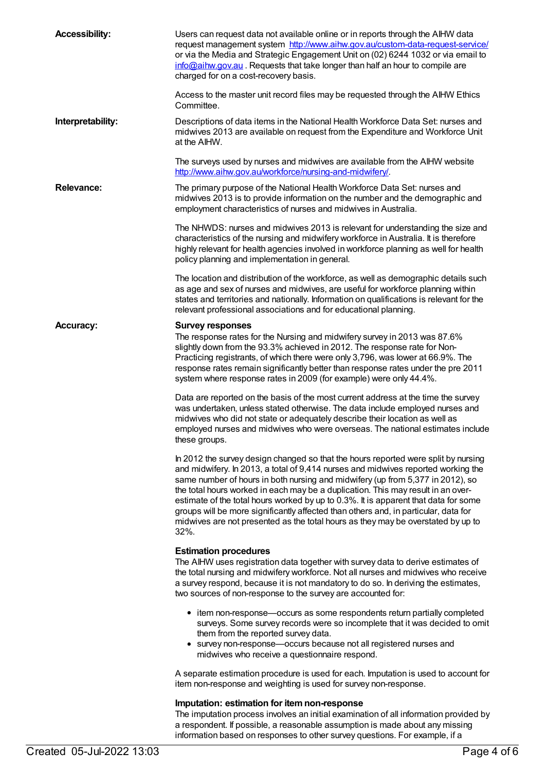| <b>Accessibility:</b> | Users can request data not available online or in reports through the AIHW data<br>request management system http://www.aihw.gov.au/custom-data-request-service/<br>or via the Media and Strategic Engagement Unit on (02) 6244 1032 or via email to<br>info@aihw.gov.au. Requests that take longer than half an hour to compile are<br>charged for on a cost-recovery basis.                                                                                                                                                                                                                                              |
|-----------------------|----------------------------------------------------------------------------------------------------------------------------------------------------------------------------------------------------------------------------------------------------------------------------------------------------------------------------------------------------------------------------------------------------------------------------------------------------------------------------------------------------------------------------------------------------------------------------------------------------------------------------|
|                       | Access to the master unit record files may be requested through the AIHW Ethics<br>Committee.                                                                                                                                                                                                                                                                                                                                                                                                                                                                                                                              |
| Interpretability:     | Descriptions of data items in the National Health Workforce Data Set: nurses and<br>midwives 2013 are available on request from the Expenditure and Workforce Unit<br>at the AIHW.                                                                                                                                                                                                                                                                                                                                                                                                                                         |
|                       | The surveys used by nurses and midwives are available from the AIHW website<br>http://www.aihw.gov.au/workforce/nursing-and-midwifery/.                                                                                                                                                                                                                                                                                                                                                                                                                                                                                    |
| Relevance:            | The primary purpose of the National Health Workforce Data Set: nurses and<br>midwives 2013 is to provide information on the number and the demographic and<br>employment characteristics of nurses and midwives in Australia.                                                                                                                                                                                                                                                                                                                                                                                              |
|                       | The NHWDS: nurses and midwives 2013 is relevant for understanding the size and<br>characteristics of the nursing and midwifery workforce in Australia. It is therefore<br>highly relevant for health agencies involved in workforce planning as well for health<br>policy planning and implementation in general.                                                                                                                                                                                                                                                                                                          |
|                       | The location and distribution of the workforce, as well as demographic details such<br>as age and sex of nurses and midwives, are useful for workforce planning within<br>states and territories and nationally. Information on qualifications is relevant for the<br>relevant professional associations and for educational planning.                                                                                                                                                                                                                                                                                     |
| <b>Accuracy:</b>      | <b>Survey responses</b><br>The response rates for the Nursing and midwifery survey in 2013 was 87.6%<br>slightly down from the 93.3% achieved in 2012. The response rate for Non-<br>Practicing registrants, of which there were only 3,796, was lower at 66.9%. The<br>response rates remain significantly better than response rates under the pre 2011<br>system where response rates in 2009 (for example) were only 44.4%.                                                                                                                                                                                            |
|                       | Data are reported on the basis of the most current address at the time the survey<br>was undertaken, unless stated otherwise. The data include employed nurses and<br>midwives who did not state or adequately describe their location as well as<br>employed nurses and midwives who were overseas. The national estimates include<br>these groups.                                                                                                                                                                                                                                                                       |
|                       | In 2012 the survey design changed so that the hours reported were split by nursing<br>and midwifery. In 2013, a total of 9,414 nurses and midwives reported working the<br>same number of hours in both nursing and midwifery (up from 5,377 in 2012), so<br>the total hours worked in each may be a duplication. This may result in an over-<br>estimate of the total hours worked by up to 0.3%. It is apparent that data for some<br>groups will be more significantly affected than others and, in particular, data for<br>midwives are not presented as the total hours as they may be overstated by up to<br>$32%$ . |
|                       | <b>Estimation procedures</b><br>The AIHW uses registration data together with survey data to derive estimates of<br>the total nursing and midwifery workforce. Not all nurses and midwives who receive<br>a survey respond, because it is not mandatory to do so. In deriving the estimates,<br>two sources of non-response to the survey are accounted for:                                                                                                                                                                                                                                                               |
|                       | • item non-response—occurs as some respondents return partially completed<br>surveys. Some survey records were so incomplete that it was decided to omit<br>them from the reported survey data.<br>survey non-response-occurs because not all registered nurses and<br>$\bullet$<br>midwives who receive a questionnaire respond.                                                                                                                                                                                                                                                                                          |
|                       | A separate estimation procedure is used for each. Imputation is used to account for<br>item non-response and weighting is used for survey non-response.                                                                                                                                                                                                                                                                                                                                                                                                                                                                    |
|                       | Imputation: estimation for item non-response<br>The imputation process involves an initial examination of all information provided by<br>a respondent. If possible, a reasonable assumption is made about any missing<br>information based on responses to other survey questions. For example, if a                                                                                                                                                                                                                                                                                                                       |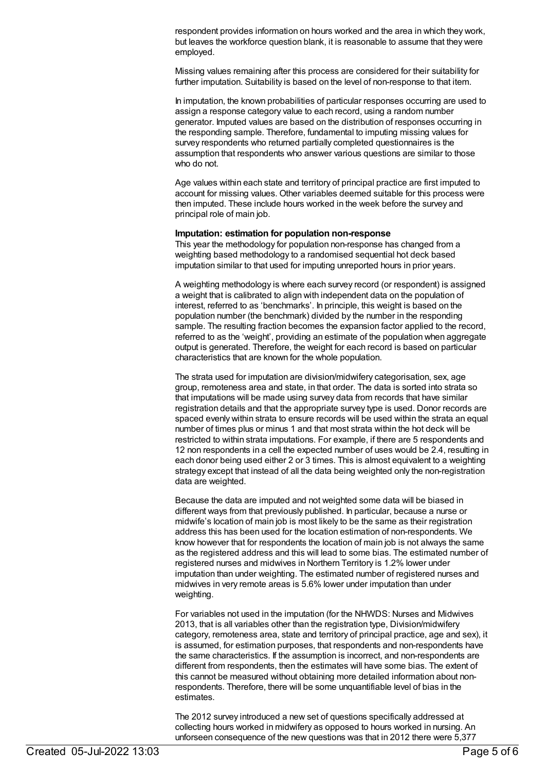respondent provides information on hours worked and the area in which they work, but leaves the workforce question blank, it is reasonable to assume that they were employed.

Missing values remaining after this process are considered for their suitability for further imputation. Suitability is based on the level of non-response to that item.

In imputation, the known probabilities of particular responses occurring are used to assign a response category value to each record, using a random number generator. Imputed values are based on the distribution of responses occurring in the responding sample. Therefore, fundamental to imputing missing values for survey respondents who returned partially completed questionnaires is the assumption that respondents who answer various questions are similar to those who do not.

Age values within each state and territory of principal practice are first imputed to account for missing values. Other variables deemed suitable for this process were then imputed. These include hours worked in the week before the survey and principal role of main job.

#### **Imputation: estimation for population non-response**

This year the methodology for population non-response has changed from a weighting based methodology to a randomised sequential hot deck based imputation similar to that used for imputing unreported hours in prior years.

A weighting methodology is where each survey record (or respondent) is assigned a weight that is calibrated to align with independent data on the population of interest, referred to as 'benchmarks'. In principle, this weight is based on the population number (the benchmark) divided by the number in the responding sample. The resulting fraction becomes the expansion factor applied to the record, referred to as the 'weight', providing an estimate of the population when aggregate output is generated. Therefore, the weight for each record is based on particular characteristics that are known for the whole population.

The strata used for imputation are division/midwifery categorisation, sex, age group, remoteness area and state, in that order. The data is sorted into strata so that imputations will be made using survey data from records that have similar registration details and that the appropriate survey type is used. Donor records are spaced evenly within strata to ensure records will be used within the strata an equal number of times plus or minus 1 and that most strata within the hot deck will be restricted to within strata imputations. For example, if there are 5 respondents and 12 non respondents in a cell the expected number of uses would be 2.4, resulting in each donor being used either 2 or 3 times. This is almost equivalent to a weighting strategy except that instead of all the data being weighted only the non-registration data are weighted.

Because the data are imputed and not weighted some data will be biased in different ways from that previously published. In particular, because a nurse or midwife's location of main job is most likely to be the same as their registration address this has been used for the location estimation of non-respondents. We know however that for respondents the location of main job is not always the same as the registered address and this will lead to some bias. The estimated number of registered nurses and midwives in Northern Territory is 1.2% lower under imputation than under weighting. The estimated number of registered nurses and midwives in very remote areas is 5.6% lower under imputation than under weighting.

For variables not used in the imputation (for the NHWDS: Nurses and Midwives 2013, that is all variables other than the registration type, Division/midwifery category, remoteness area, state and territory of principal practice, age and sex), it is assumed, for estimation purposes, that respondents and non-respondents have the same characteristics. If the assumption is incorrect, and non-respondents are different from respondents, then the estimates will have some bias. The extent of this cannot be measured without obtaining more detailed information about nonrespondents. Therefore, there will be some unquantifiable level of bias in the estimates.

The 2012 survey introduced a new set of questions specifically addressed at collecting hours worked in midwifery as opposed to hours worked in nursing. An unforseen consequence of the new questions was that in 2012 there were 5,377